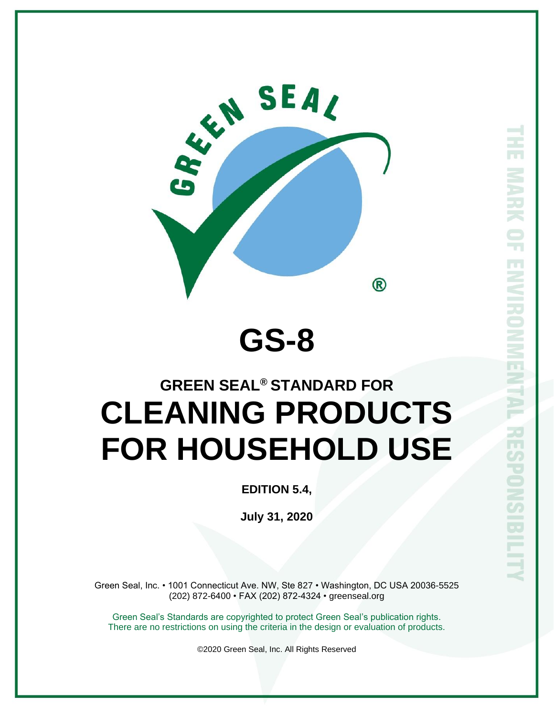

# **GS-8**

# **GREEN SEAL® STANDARD FOR CLEANING PRODUCTS FOR HOUSEHOLD USE**

**EDITION 5.4,** 

**July 31, 2020**

Green Seal, Inc. • 1001 Connecticut Ave. NW, Ste 827 • Washington, DC USA 20036-5525 (202) 872-6400 • FAX (202) 872-4324 • greenseal.org

Green Seal's Standards are copyrighted to protect Green Seal's publication rights. There are no restrictions on using the criteria in the design or evaluation of products.

©2020 Green Seal, Inc. All Rights Reserved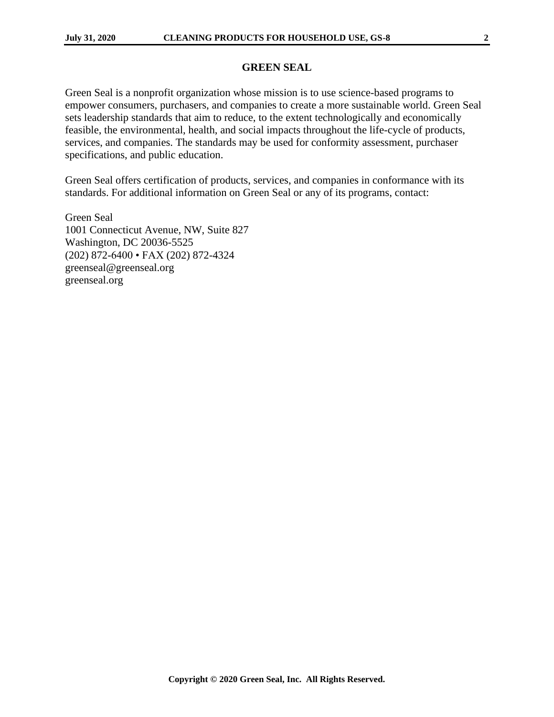#### **GREEN SEAL**

Green Seal is a nonprofit organization whose mission is to use science-based programs to empower consumers, purchasers, and companies to create a more sustainable world. Green Seal sets leadership standards that aim to reduce, to the extent technologically and economically feasible, the environmental, health, and social impacts throughout the life-cycle of products, services, and companies. The standards may be used for conformity assessment, purchaser specifications, and public education.

Green Seal offers certification of products, services, and companies in conformance with its standards. For additional information on Green Seal or any of its programs, contact:

Green Seal 1001 Connecticut Avenue, NW, Suite 827 Washington, DC 20036-5525 (202) 872-6400 • FAX (202) 872-4324 greenseal@greenseal.org greenseal.org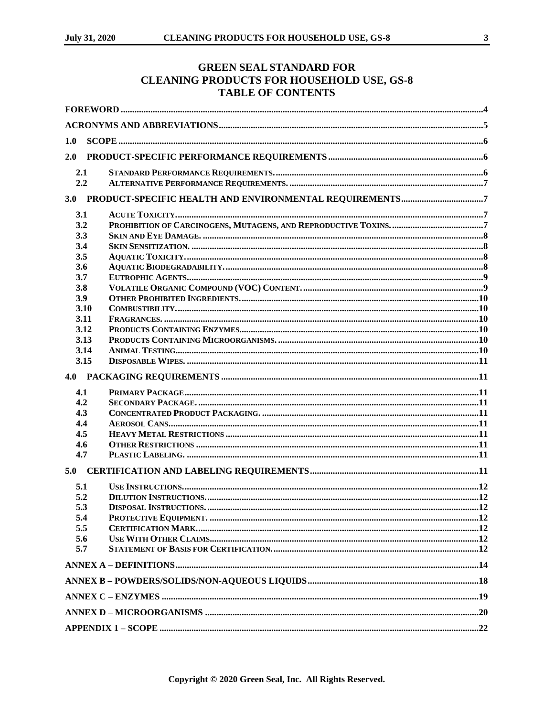#### **GREEN SEAL STANDARD FOR CLEANING PRODUCTS FOR HOUSEHOLD USE, GS-8 TABLE OF CONTENTS**

| 1.0        |  |  |  |  |
|------------|--|--|--|--|
| 2.0        |  |  |  |  |
| 2.1        |  |  |  |  |
| 2.2        |  |  |  |  |
|            |  |  |  |  |
| 3.1        |  |  |  |  |
| 3.2        |  |  |  |  |
| 3.3        |  |  |  |  |
| 3.4        |  |  |  |  |
| 3.5        |  |  |  |  |
| 3.6        |  |  |  |  |
| 3.7        |  |  |  |  |
| 3.8        |  |  |  |  |
| 3.9        |  |  |  |  |
| 3.10       |  |  |  |  |
| 3.11       |  |  |  |  |
| 3.12       |  |  |  |  |
| 3.13       |  |  |  |  |
| 3.14       |  |  |  |  |
| 3.15       |  |  |  |  |
|            |  |  |  |  |
| 4.1        |  |  |  |  |
| 4.2        |  |  |  |  |
| 4.3        |  |  |  |  |
| 4.4<br>4.5 |  |  |  |  |
| 4.6        |  |  |  |  |
| 4.7        |  |  |  |  |
| 5.0        |  |  |  |  |
|            |  |  |  |  |
| 5.1        |  |  |  |  |
| 5.2        |  |  |  |  |
| 5.3        |  |  |  |  |
| 5.4        |  |  |  |  |
| 5.5        |  |  |  |  |
| 5.6        |  |  |  |  |
| 5.7        |  |  |  |  |
|            |  |  |  |  |
|            |  |  |  |  |
|            |  |  |  |  |
|            |  |  |  |  |
|            |  |  |  |  |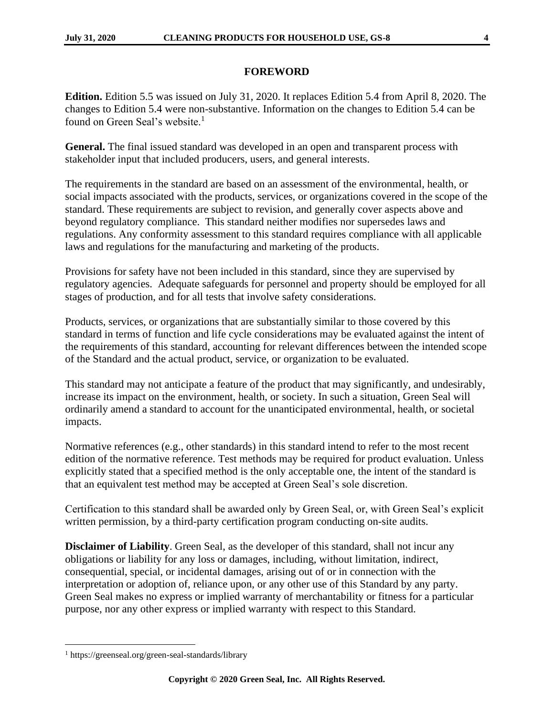#### **FOREWORD**

<span id="page-3-0"></span>**Edition.** Edition 5.5 was issued on July 31, 2020. It replaces Edition 5.4 from April 8, 2020. The changes to Edition 5.4 were non-substantive. Information on the changes to Edition 5.4 can be found on Green Seal's website.<sup>1</sup>

**General.** The final issued standard was developed in an open and transparent process with stakeholder input that included producers, users, and general interests.

The requirements in the standard are based on an assessment of the environmental, health, or social impacts associated with the products, services, or organizations covered in the scope of the standard. These requirements are subject to revision, and generally cover aspects above and beyond regulatory compliance. This standard neither modifies nor supersedes laws and regulations. Any conformity assessment to this standard requires compliance with all applicable laws and regulations for the manufacturing and marketing of the products.

Provisions for safety have not been included in this standard, since they are supervised by regulatory agencies. Adequate safeguards for personnel and property should be employed for all stages of production, and for all tests that involve safety considerations.

Products, services, or organizations that are substantially similar to those covered by this standard in terms of function and life cycle considerations may be evaluated against the intent of the requirements of this standard, accounting for relevant differences between the intended scope of the Standard and the actual product, service, or organization to be evaluated.

This standard may not anticipate a feature of the product that may significantly, and undesirably, increase its impact on the environment, health, or society. In such a situation, Green Seal will ordinarily amend a standard to account for the unanticipated environmental, health, or societal impacts.

Normative references (e.g., other standards) in this standard intend to refer to the most recent edition of the normative reference. Test methods may be required for product evaluation. Unless explicitly stated that a specified method is the only acceptable one, the intent of the standard is that an equivalent test method may be accepted at Green Seal's sole discretion.

Certification to this standard shall be awarded only by Green Seal, or, with Green Seal's explicit written permission, by a third-party certification program conducting on-site audits.

**Disclaimer of Liability**. Green Seal, as the developer of this standard, shall not incur any obligations or liability for any loss or damages, including, without limitation, indirect, consequential, special, or incidental damages, arising out of or in connection with the interpretation or adoption of, reliance upon, or any other use of this Standard by any party. Green Seal makes no express or implied warranty of merchantability or fitness for a particular purpose, nor any other express or implied warranty with respect to this Standard.

<sup>1</sup> https://greenseal.org/green-seal-standards/library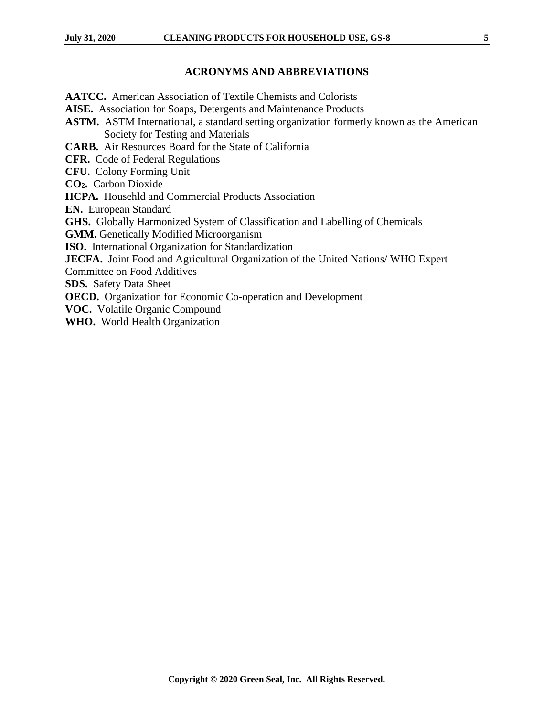#### **ACRONYMS AND ABBREVIATIONS**

<span id="page-4-0"></span>**AATCC.** American Association of Textile Chemists and Colorists **AISE.** Association for Soaps, Detergents and Maintenance Products **ASTM.** ASTM International, a standard setting organization formerly known as the American Society for Testing and Materials **CARB.** Air Resources Board for the State of California **CFR.** Code of Federal Regulations **CFU.** Colony Forming Unit **CO2.** Carbon Dioxide **HCPA.** Househld and Commercial Products Association **EN.** European Standard **GHS.** Globally Harmonized System of Classification and Labelling of Chemicals **GMM.** Genetically Modified Microorganism **ISO.** International Organization for Standardization **JECFA.** Joint Food and Agricultural Organization of the United Nations/ WHO Expert Committee on Food Additives **SDS.** Safety Data Sheet **OECD.** Organization for Economic Co-operation and Development **VOC.** Volatile Organic Compound **WHO.** World Health Organization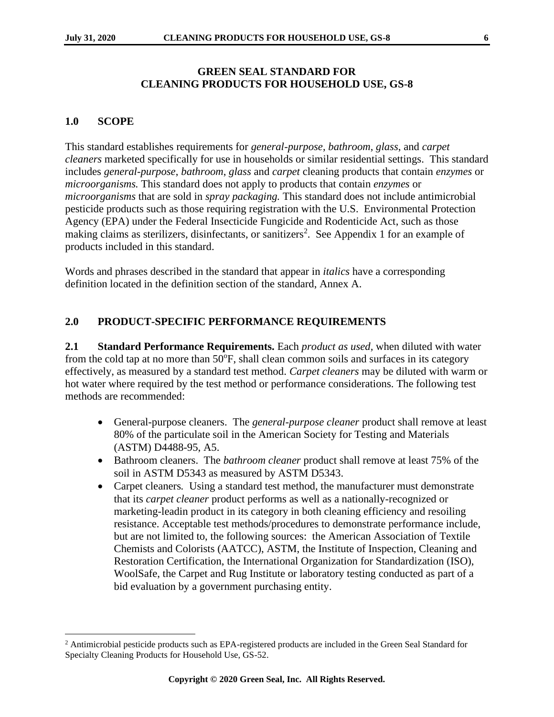#### **GREEN SEAL STANDARD FOR CLEANING PRODUCTS FOR HOUSEHOLD USE, GS-8**

### <span id="page-5-0"></span>**1.0 SCOPE**

This standard establishes requirements for *general-purpose*, *bathroom*, *glass*, and *carpet cleaners* marketed specifically for use in households or similar residential settings. This standard includes *general-purpose*, *bathroom*, *glass* and *carpet* cleaning products that contain *enzymes* or *microorganisms.* This standard does not apply to products that contain *enzymes* or *microorganisms* that are sold in *spray packaging.* This standard does not include antimicrobial pesticide products such as those requiring registration with the U.S. Environmental Protection Agency (EPA) under the Federal Insecticide Fungicide and Rodenticide Act, such as those making claims as sterilizers, disinfectants, or sanitizers<sup>2</sup>. See Appendix 1 for an example of products included in this standard.

Words and phrases described in the standard that appear in *italics* have a corresponding definition located in the definition section of the standard, Annex A.

### <span id="page-5-1"></span>**2.0 PRODUCT-SPECIFIC PERFORMANCE REQUIREMENTS**

<span id="page-5-2"></span>**2.1 Standard Performance Requirements.** Each *product as used,* when diluted with water from the cold tap at no more than 50°F, shall clean common soils and surfaces in its category effectively, as measured by a standard test method. *Carpet cleaners* may be diluted with warm or hot water where required by the test method or performance considerations. The following test methods are recommended:

- General-purpose cleaners.The *general-purpose cleaner* product shall remove at least 80% of the particulate soil in the American Society for Testing and Materials (ASTM) D4488-95, A5.
- Bathroom cleaners.The *bathroom cleaner* product shall remove at least 75% of the soil in ASTM D5343 as measured by ASTM D5343.
- Carpet cleaners. Using a standard test method, the manufacturer must demonstrate that its *carpet cleaner* product performs as well as a nationally-recognized or marketing-leadin product in its category in both cleaning efficiency and resoiling resistance. Acceptable test methods/procedures to demonstrate performance include, but are not limited to, the following sources: the American Association of Textile Chemists and Colorists (AATCC), ASTM, the Institute of Inspection, Cleaning and Restoration Certification, the International Organization for Standardization (ISO), WoolSafe, the Carpet and Rug Institute or laboratory testing conducted as part of a bid evaluation by a government purchasing entity.

<sup>&</sup>lt;sup>2</sup> Antimicrobial pesticide products such as EPA-registered products are included in the Green Seal Standard for Specialty Cleaning Products for Household Use, GS-52.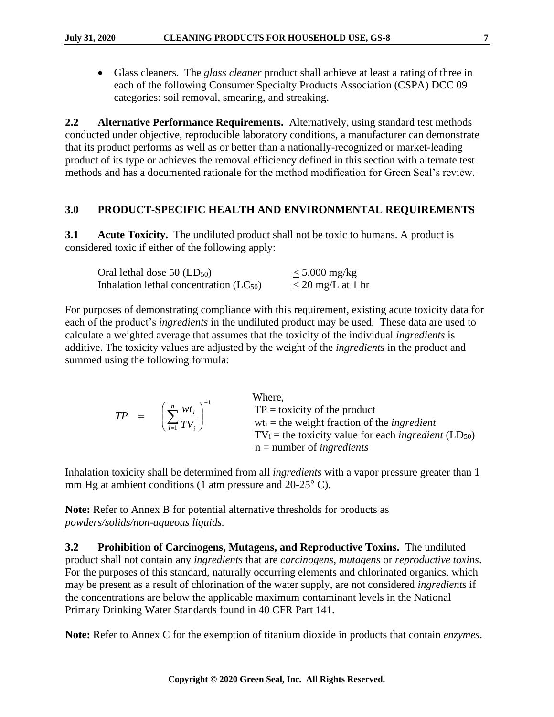• Glass cleaners.The *glass cleaner* product shall achieve at least a rating of three in each of the following Consumer Specialty Products Association (CSPA) DCC 09 categories: soil removal, smearing, and streaking.

<span id="page-6-0"></span>**2.2 Alternative Performance Requirements.** Alternatively, using standard test methods conducted under objective, reproducible laboratory conditions, a manufacturer can demonstrate that its product performs as well as or better than a nationally-recognized or market-leading product of its type or achieves the removal efficiency defined in this section with alternate test methods and has a documented rationale for the method modification for Green Seal's review.

#### <span id="page-6-1"></span>**3.0 PRODUCT-SPECIFIC HEALTH AND ENVIRONMENTAL REQUIREMENTS**

<span id="page-6-2"></span>**3.1 Acute Toxicity.** The undiluted product shall not be toxic to humans. A product is considered toxic if either of the following apply:

| Oral lethal dose $50$ (LD $_{50}$ )         | $\leq 5,000$ mg/kg     |
|---------------------------------------------|------------------------|
| Inhalation lethal concentration $(LC_{50})$ | $\leq$ 20 mg/L at 1 hr |

For purposes of demonstrating compliance with this requirement, existing acute toxicity data for each of the product's *ingredients* in the undiluted product may be used. These data are used to calculate a weighted average that assumes that the toxicity of the individual *ingredients* is additive. The toxicity values are adjusted by the weight of the *ingredients* in the product and summed using the following formula:

|  | $TP = \left(\sum_{i=1}^{n} \frac{wt_i}{TV_i}\right)^{-1}$ | Where,<br>$TP =$ toxicity of the product<br>$wt_i$ = the weight fraction of the <i>ingredient</i><br>$TV_i$ = the toxicity value for each <i>ingredient</i> (LD <sub>50</sub> )<br>$n =$ number of <i>ingredients</i> |
|--|-----------------------------------------------------------|-----------------------------------------------------------------------------------------------------------------------------------------------------------------------------------------------------------------------|
|--|-----------------------------------------------------------|-----------------------------------------------------------------------------------------------------------------------------------------------------------------------------------------------------------------------|

Inhalation toxicity shall be determined from all *ingredients* with a vapor pressure greater than 1 mm Hg at ambient conditions (1 atm pressure and 20-25° C).

**Note:** Refer to Annex B for potential alternative thresholds for products as *powders/solids/non-aqueous liquids.*

<span id="page-6-3"></span>**3.2 Prohibition of Carcinogens, Mutagens, and Reproductive Toxins.** The undiluted product shall not contain any *ingredients* that are *carcinogens*, *mutagens* or *reproductive toxins*. For the purposes of this standard, naturally occurring elements and chlorinated organics, which may be present as a result of chlorination of the water supply, are not considered *ingredients* if the concentrations are below the applicable maximum contaminant levels in the National Primary Drinking Water Standards found in 40 CFR Part 141.

**Note:** Refer to Annex C for the exemption of titanium dioxide in products that contain *enzymes*.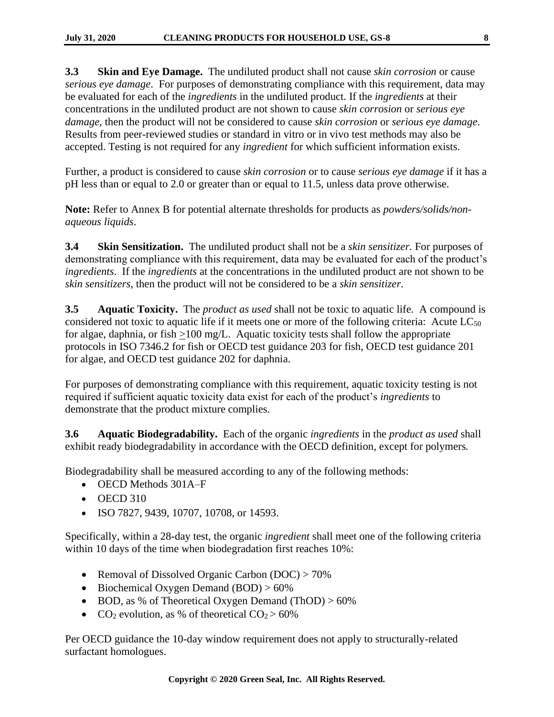<span id="page-7-0"></span>**3.3 Skin and Eye Damage.** The undiluted product shall not cause *skin corrosion* or cause *serious eye damage*. For purposes of demonstrating compliance with this requirement, data may be evaluated for each of the *ingredients* in the undiluted product. If the *ingredients* at their concentrations in the undiluted product are not shown to cause *skin corrosion* or *serious eye damage*, then the product will not be considered to cause *skin corrosion* or *serious eye damage*. Results from peer-reviewed studies or standard in vitro or in vivo test methods may also be accepted. Testing is not required for any *ingredient* for which sufficient information exists.

Further, a product is considered to cause *skin corrosion* or to cause *serious eye damage* if it has a pH less than or equal to 2.0 or greater than or equal to 11.5, unless data prove otherwise.

**Note:** Refer to Annex B for potential alternate thresholds for products as *powders/solids/nonaqueous liquids*.

<span id="page-7-1"></span>**3.4 Skin Sensitization.** The undiluted product shall not be a *skin sensitizer.* For purposes of demonstrating compliance with this requirement, data may be evaluated for each of the product's *ingredients*. If the *ingredients* at the concentrations in the undiluted product are not shown to be *skin sensitizers*, then the product will not be considered to be a *skin sensitizer*.

<span id="page-7-2"></span>**3.5 Aquatic Toxicity.** The *product as used* shall not be toxic to aquatic life. A compound is considered not toxic to aquatic life if it meets one or more of the following criteria: Acute  $LC_{50}$ for algae, daphnia, or fish >100 mg/L. Aquatic toxicity tests shall follow the appropriate protocols in ISO 7346.2 for fish or OECD test guidance 203 for fish, OECD test guidance 201 for algae, and OECD test guidance 202 for daphnia.

For purposes of demonstrating compliance with this requirement, aquatic toxicity testing is not required if sufficient aquatic toxicity data exist for each of the product's *ingredients* to demonstrate that the product mixture complies.

<span id="page-7-3"></span>**3.6 Aquatic Biodegradability.** Each of the organic *ingredients* in the *product as used* shall exhibit ready biodegradability in accordance with the OECD definition, except for polymers*.*

Biodegradability shall be measured according to any of the following methods:

- OECD Methods 301A–F
- OECD 310
- ISO 7827, 9439, 10707, 10708, or 14593.

Specifically, within a 28-day test, the organic *ingredient* shall meet one of the following criteria within 10 days of the time when biodegradation first reaches 10%:

- Removal of Dissolved Organic Carbon (DOC) > 70%
- Biochemical Oxygen Demand (BOD) > 60%
- BOD, as % of Theoretical Oxygen Demand (ThOD) > 60%
- CO<sub>2</sub> evolution, as % of theoretical  $CO<sub>2</sub> > 60%$

Per OECD guidance the 10-day window requirement does not apply to structurally-related surfactant homologues.

**Copyright © 2020 Green Seal, Inc. All Rights Reserved.**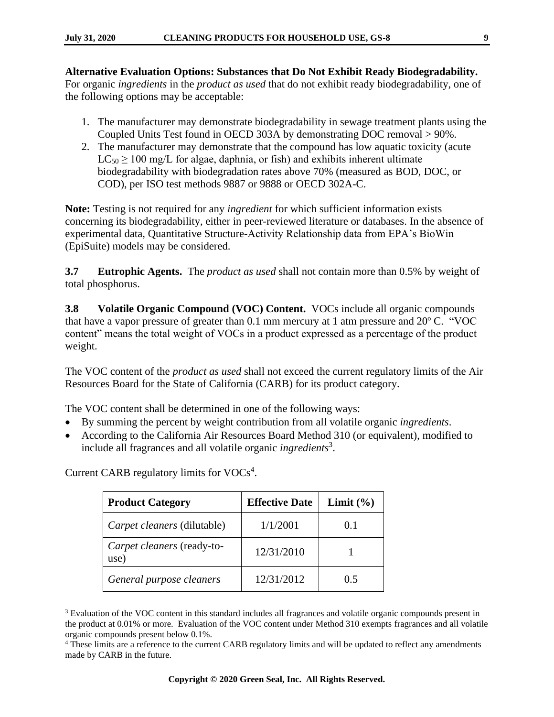- 1. The manufacturer may demonstrate biodegradability in sewage treatment plants using the Coupled Units Test found in OECD 303A by demonstrating DOC removal > 90%.
- 2. The manufacturer may demonstrate that the compound has low aquatic toxicity (acute  $LC_{50} \ge 100$  mg/L for algae, daphnia, or fish) and exhibits inherent ultimate biodegradability with biodegradation rates above 70% (measured as BOD, DOC, or COD), per ISO test methods 9887 or 9888 or OECD 302A-C.

**Note:** Testing is not required for any *ingredient* for which sufficient information exists concerning its biodegradability, either in peer-reviewed literature or databases. In the absence of experimental data, Quantitative Structure-Activity Relationship data from EPA's BioWin (EpiSuite) models may be considered.

<span id="page-8-0"></span>**3.7 Eutrophic Agents.** The *product as used* shall not contain more than 0.5% by weight of total phosphorus.

<span id="page-8-1"></span>**3.8 Volatile Organic Compound (VOC) Content.** VOCs include all organic compounds that have a vapor pressure of greater than 0.1 mm mercury at 1 atm pressure and 20º C. "VOC content" means the total weight of VOCs in a product expressed as a percentage of the product weight.

The VOC content of the *product as used* shall not exceed the current regulatory limits of the Air Resources Board for the State of California (CARB) for its product category.

The VOC content shall be determined in one of the following ways:

- By summing the percent by weight contribution from all volatile organic *ingredients*.
- According to the California Air Resources Board Method 310 (or equivalent), modified to include all fragrances and all volatile organic *ingredients*<sup>3</sup> .

| <b>Product Category</b>            | <b>Effective Date</b> | Limit $(\% )$ |
|------------------------------------|-----------------------|---------------|
| Carpet cleaners (dilutable)        | 1/1/2001              | 0.1           |
| Carpet cleaners (ready-to-<br>use) | 12/31/2010            |               |
| General purpose cleaners           | 12/31/2012            | () 5          |

Current CARB regulatory limits for  $VOCs<sup>4</sup>$ .

<sup>3</sup> Evaluation of the VOC content in this standard includes all fragrances and volatile organic compounds present in the product at 0.01% or more. Evaluation of the VOC content under Method 310 exempts fragrances and all volatile organic compounds present below 0.1%.

<sup>&</sup>lt;sup>4</sup> These limits are a reference to the current CARB regulatory limits and will be updated to reflect any amendments made by CARB in the future.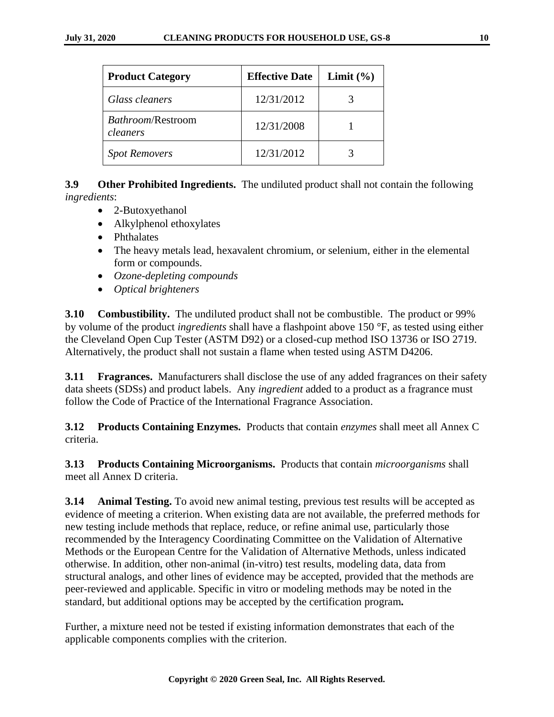| <b>Product Category</b>       | <b>Effective Date</b> | Limit $(\% )$ |
|-------------------------------|-----------------------|---------------|
| Glass cleaners                | 12/31/2012            |               |
| Bathroom/Restroom<br>cleaners | 12/31/2008            |               |
| <b>Spot Removers</b>          | 12/31/2012            |               |

<span id="page-9-0"></span>**3.9 Other Prohibited Ingredients.** The undiluted product shall not contain the following *ingredients*:

- 2-Butoxyethanol
- Alkylphenol ethoxylates
- Phthalates
- The heavy metals lead, hexavalent chromium, or selenium, either in the elemental form or compounds.
- *Ozone-depleting compounds*
- *Optical brighteners*

<span id="page-9-1"></span>**3.10 Combustibility.** The undiluted product shall not be combustible. The product or 99% by volume of the product *ingredients* shall have a flashpoint above 150 °F, as tested using either the Cleveland Open Cup Tester (ASTM D92) or a closed-cup method ISO 13736 or ISO 2719. Alternatively, the product shall not sustain a flame when tested using ASTM D4206.

<span id="page-9-2"></span>**3.11 Fragrances.** Manufacturers shall disclose the use of any added fragrances on their safety data sheets (SDSs) and product labels. Any *ingredient* added to a product as a fragrance must follow the Code of Practice of the International Fragrance Association.

<span id="page-9-3"></span>**3.12 Products Containing Enzymes.** Products that contain *enzymes* shall meet all Annex C criteria.

<span id="page-9-4"></span>**3.13 Products Containing Microorganisms.** Products that contain *microorganisms* shall meet all Annex D criteria.

<span id="page-9-5"></span>**3.14 Animal Testing.** To avoid new animal testing, previous test results will be accepted as evidence of meeting a criterion. When existing data are not available, the preferred methods for new testing include methods that replace, reduce, or refine animal use, particularly those recommended by the Interagency Coordinating Committee on the Validation of Alternative Methods or the European Centre for the Validation of Alternative Methods, unless indicated otherwise. In addition, other non-animal (in-vitro) test results, modeling data, data from structural analogs, and other lines of evidence may be accepted, provided that the methods are peer-reviewed and applicable. Specific in vitro or modeling methods may be noted in the standard, but additional options may be accepted by the certification program*.* 

Further, a mixture need not be tested if existing information demonstrates that each of the applicable components complies with the criterion.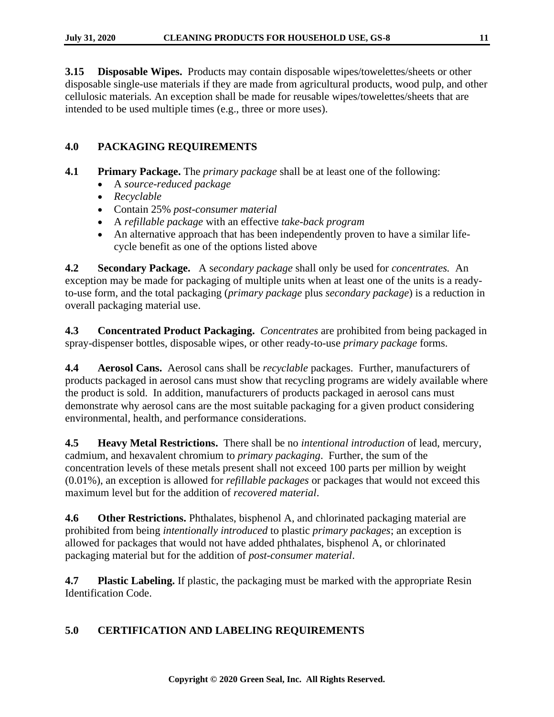<span id="page-10-0"></span>**3.15 Disposable Wipes.** Products may contain disposable wipes/towelettes/sheets or other disposable single-use materials if they are made from agricultural products, wood pulp, and other cellulosic materials*.* An exception shall be made for reusable wipes/towelettes/sheets that are intended to be used multiple times (e.g., three or more uses).

# <span id="page-10-1"></span>**4.0 PACKAGING REQUIREMENTS**

<span id="page-10-2"></span>**4.1 Primary Package.** The *primary package* shall be at least one of the following:

- A *source-reduced package*
- *Recyclable*
- Contain 25% *post-consumer material*
- A *refillable package* with an effective *take-back program*
- An alternative approach that has been independently proven to have a similar lifecycle benefit as one of the options listed above

<span id="page-10-3"></span>**4.2 Secondary Package.** A s*econdary package* shall only be used for *concentrates.* An exception may be made for packaging of multiple units when at least one of the units is a readyto-use form, and the total packaging (*primary package* plus *secondary package*) is a reduction in overall packaging material use.

<span id="page-10-4"></span>**4.3 Concentrated Product Packaging.** *Concentrates* are prohibited from being packaged in spray-dispenser bottles, disposable wipes, or other ready-to-use *primary package* forms.

<span id="page-10-5"></span>**4.4 Aerosol Cans.** Aerosol cans shall be *recyclable* packages. Further, manufacturers of products packaged in aerosol cans must show that recycling programs are widely available where the product is sold. In addition, manufacturers of products packaged in aerosol cans must demonstrate why aerosol cans are the most suitable packaging for a given product considering environmental, health, and performance considerations.

<span id="page-10-6"></span>**4.5 Heavy Metal Restrictions.** There shall be no *intentional introduction* of lead, mercury, cadmium, and hexavalent chromium to *primary packaging*. Further, the sum of the concentration levels of these metals present shall not exceed 100 parts per million by weight (0.01%), an exception is allowed for *refillable packages* or packages that would not exceed this maximum level but for the addition of *recovered material*.

<span id="page-10-7"></span>**4.6 Other Restrictions.** Phthalates, bisphenol A, and chlorinated packaging material are prohibited from being *intentionally introduced* to plastic *primary packages*; an exception is allowed for packages that would not have added phthalates, bisphenol A, or chlorinated packaging material but for the addition of *post-consumer material*.

<span id="page-10-8"></span>**4.7 Plastic Labeling.** If plastic, the packaging must be marked with the appropriate Resin Identification Code.

# <span id="page-10-9"></span>**5.0 CERTIFICATION AND LABELING REQUIREMENTS**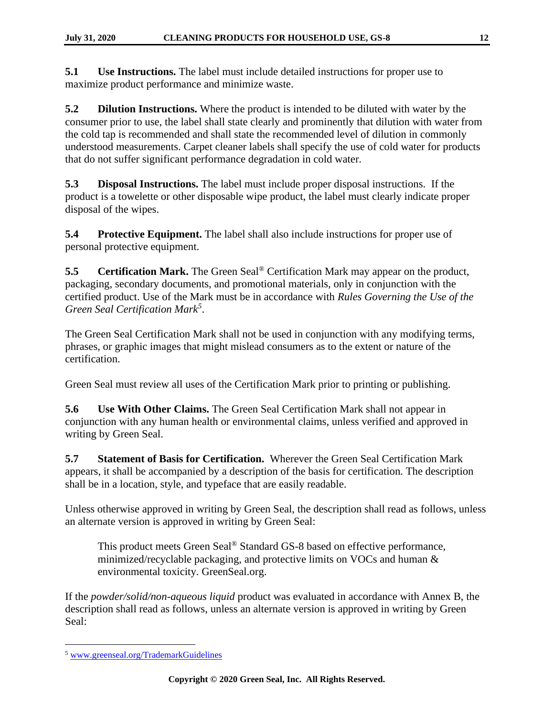<span id="page-11-0"></span>**5.1 Use Instructions.** The label must include detailed instructions for proper use to maximize product performance and minimize waste.

<span id="page-11-1"></span>**5.2 Dilution Instructions.** Where the product is intended to be diluted with water by the consumer prior to use, the label shall state clearly and prominently that dilution with water from the cold tap is recommended and shall state the recommended level of dilution in commonly understood measurements. Carpet cleaner labels shall specify the use of cold water for products that do not suffer significant performance degradation in cold water.

<span id="page-11-2"></span>**5.3 Disposal Instructions.** The label must include proper disposal instructions. If the product is a towelette or other disposable wipe product, the label must clearly indicate proper disposal of the wipes.

<span id="page-11-3"></span>**5.4 Protective Equipment.** The label shall also include instructions for proper use of personal protective equipment.

<span id="page-11-4"></span>**5.5 Certification Mark.** The Green Seal® Certification Mark may appear on the product, packaging, secondary documents, and promotional materials, only in conjunction with the certified product. Use of the Mark must be in accordance with *Rules Governing the Use of the Green Seal Certification Mark<sup>5</sup>* .

The Green Seal Certification Mark shall not be used in conjunction with any modifying terms, phrases, or graphic images that might mislead consumers as to the extent or nature of the certification.

Green Seal must review all uses of the Certification Mark prior to printing or publishing.

<span id="page-11-5"></span>**5.6 Use With Other Claims.** The Green Seal Certification Mark shall not appear in conjunction with any human health or environmental claims, unless verified and approved in writing by Green Seal.

<span id="page-11-6"></span>**5.7 Statement of Basis for Certification.** Wherever the Green Seal Certification Mark appears, it shall be accompanied by a description of the basis for certification. The description shall be in a location, style, and typeface that are easily readable.

Unless otherwise approved in writing by Green Seal, the description shall read as follows, unless an alternate version is approved in writing by Green Seal:

This product meets Green Seal<sup>®</sup> Standard GS-8 based on effective performance, minimized/recyclable packaging, and protective limits on VOCs and human & environmental toxicity. GreenSeal.org.

If the *powder/solid/non-aqueous liquid* product was evaluated in accordance with Annex B, the description shall read as follows, unless an alternate version is approved in writing by Green Seal:

<sup>5</sup> [www.greenseal.org/TrademarkGuidelines](file://///gsfile15/Shared/Science%20and%20Standards/_Official%20Versions%20of%20Standards%202015/GS-8/www.greenseal.org/TrademarkGuidelines)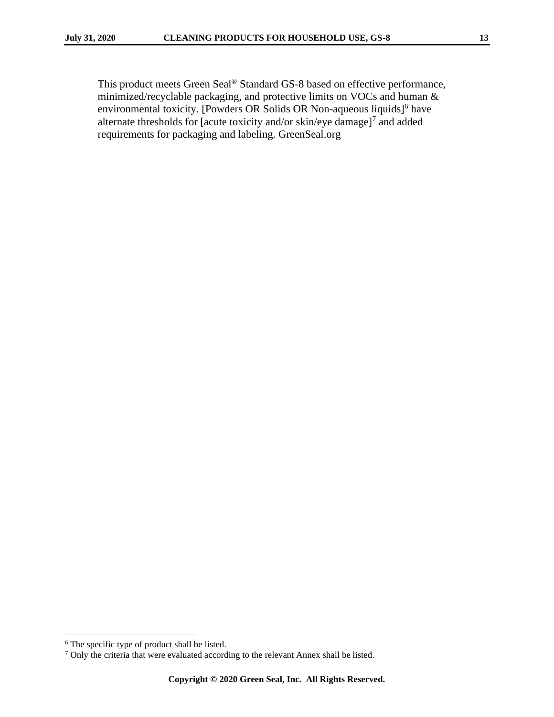This product meets Green Seal® Standard GS-8 based on effective performance, minimized/recyclable packaging, and protective limits on VOCs and human & environmental toxicity. [Powders OR Solids OR Non-aqueous liquids]<sup>6</sup> have alternate thresholds for [acute toxicity and/or  $\sin/\text{eye}$  damage]<sup>7</sup> and added requirements for packaging and labeling. GreenSeal.org

<sup>6</sup> The specific type of product shall be listed.

<sup>&</sup>lt;sup>7</sup> Only the criteria that were evaluated according to the relevant Annex shall be listed.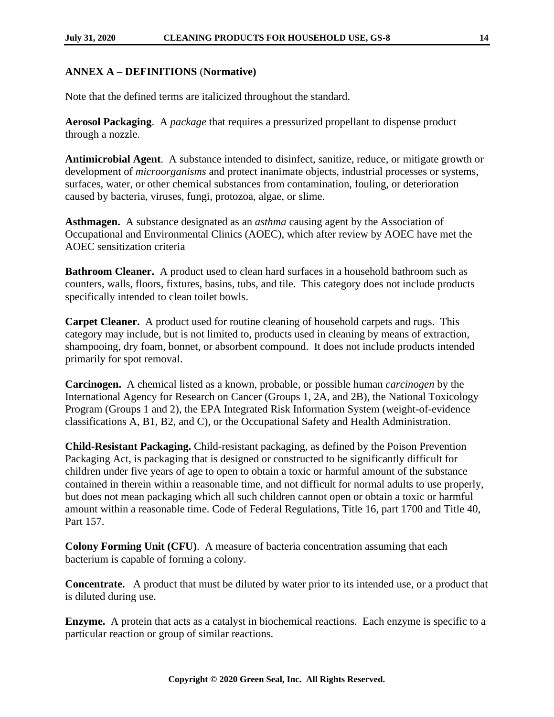# <span id="page-13-0"></span>**ANNEX A – DEFINITIONS** (**Normative)**

Note that the defined terms are italicized throughout the standard.

**Aerosol Packaging**. A *package* that requires a pressurized propellant to dispense product through a nozzle.

**Antimicrobial Agent**. A substance intended to disinfect, sanitize, reduce, or mitigate growth or development of *microorganisms* and protect inanimate objects, industrial processes or systems, surfaces, water, or other chemical substances from contamination, fouling, or deterioration caused by bacteria, viruses, fungi, protozoa, algae, or slime.

**Asthmagen.** A substance designated as an *asthma* causing agent by the Association of Occupational and Environmental Clinics (AOEC), which after review by AOEC have met the AOEC sensitization criteria

**Bathroom Cleaner.** A product used to clean hard surfaces in a household bathroom such as counters, walls, floors, fixtures, basins, tubs, and tile. This category does not include products specifically intended to clean toilet bowls.

**Carpet Cleaner.** A product used for routine cleaning of household carpets and rugs. This category may include, but is not limited to, products used in cleaning by means of extraction, shampooing, dry foam, bonnet, or absorbent compound. It does not include products intended primarily for spot removal.

**Carcinogen.** A chemical listed as a known, probable, or possible human *carcinogen* by the International Agency for Research on Cancer (Groups 1, 2A, and 2B), the National Toxicology Program (Groups 1 and 2), the EPA Integrated Risk Information System (weight-of-evidence classifications A, B1, B2, and C), or the Occupational Safety and Health Administration.

**Child-Resistant Packaging.** Child-resistant packaging, as defined by the Poison Prevention Packaging Act, is packaging that is designed or constructed to be significantly difficult for children under five years of age to open to obtain a toxic or harmful amount of the substance contained in therein within a reasonable time, and not difficult for normal adults to use properly, but does not mean packaging which all such children cannot open or obtain a toxic or harmful amount within a reasonable time. Code of Federal Regulations, Title 16, part 1700 and Title 40, Part 157.

**Colony Forming Unit (CFU)**. A measure of bacteria concentration assuming that each bacterium is capable of forming a colony.

**Concentrate.** A product that must be diluted by water prior to its intended use, or a product that is diluted during use.

**Enzyme.** A protein that acts as a catalyst in biochemical reactions. Each enzyme is specific to a particular reaction or group of similar reactions.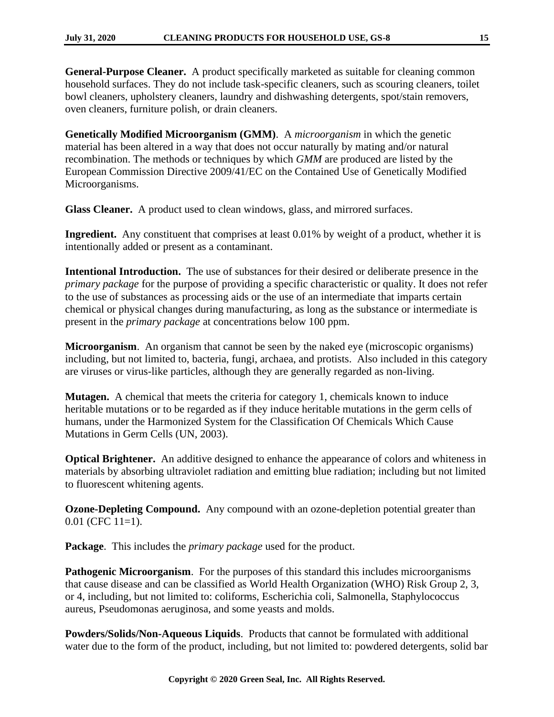**General-Purpose Cleaner.** A product specifically marketed as suitable for cleaning common household surfaces. They do not include task-specific cleaners, such as scouring cleaners, toilet bowl cleaners, upholstery cleaners, laundry and dishwashing detergents, spot/stain removers, oven cleaners, furniture polish, or drain cleaners.

**Genetically Modified Microorganism (GMM)**. A *microorganism* in which the genetic material has been altered in a way that does not occur naturally by mating and/or natural recombination. The methods or techniques by which *GMM* are produced are listed by the European Commission Directive 2009/41/EC on the Contained Use of Genetically Modified Microorganisms.

**Glass Cleaner.** A product used to clean windows, glass, and mirrored surfaces.

**Ingredient.** Any constituent that comprises at least 0.01% by weight of a product, whether it is intentionally added or present as a contaminant.

**Intentional Introduction.** The use of substances for their desired or deliberate presence in the *primary package* for the purpose of providing a specific characteristic or quality. It does not refer to the use of substances as processing aids or the use of an intermediate that imparts certain chemical or physical changes during manufacturing, as long as the substance or intermediate is present in the *primary package* at concentrations below 100 ppm.

**Microorganism**. An organism that cannot be seen by the naked eye (microscopic organisms) including, but not limited to, bacteria, fungi, archaea, and protists. Also included in this category are viruses or virus-like particles, although they are generally regarded as non-living.

**Mutagen.** A chemical that meets the criteria for category 1, chemicals known to induce heritable mutations or to be regarded as if they induce heritable mutations in the germ cells of humans, under the Harmonized System for the Classification Of Chemicals Which Cause Mutations in Germ Cells (UN, 2003).

**Optical Brightener.** An additive designed to enhance the appearance of colors and whiteness in materials by absorbing ultraviolet radiation and emitting blue radiation; including but not limited to fluorescent whitening agents.

**Ozone-Depleting Compound.** Any compound with an ozone-depletion potential greater than 0.01 (CFC 11=1).

**Package**. This includes the *primary package* used for the product.

**Pathogenic Microorganism.** For the purposes of this standard this includes microorganisms that cause disease and can be classified as World Health Organization (WHO) Risk Group 2, 3, or 4, including, but not limited to: coliforms, Escherichia coli, Salmonella, Staphylococcus aureus, Pseudomonas aeruginosa, and some yeasts and molds.

**Powders/Solids/Non-Aqueous Liquids**. Products that cannot be formulated with additional water due to the form of the product, including, but not limited to: powdered detergents, solid bar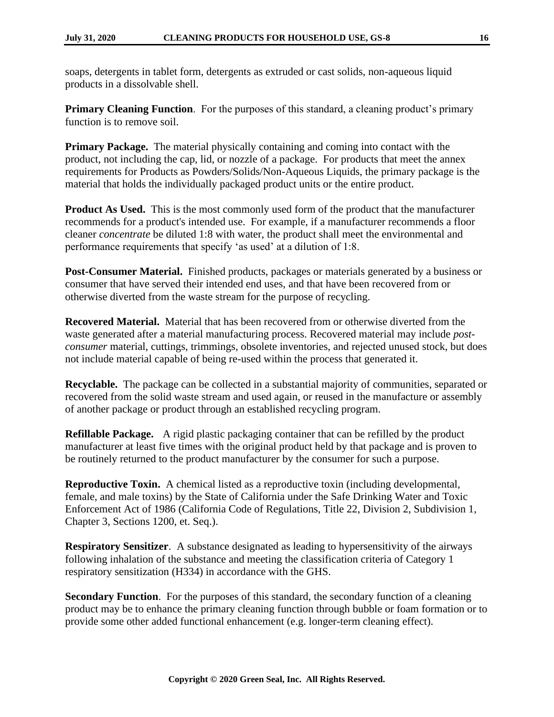soaps, detergents in tablet form, detergents as extruded or cast solids, non-aqueous liquid products in a dissolvable shell.

**Primary Cleaning Function.** For the purposes of this standard, a cleaning product's primary function is to remove soil.

**Primary Package.** The material physically containing and coming into contact with the product, not including the cap, lid, or nozzle of a package. For products that meet the annex requirements for Products as Powders/Solids/Non-Aqueous Liquids, the primary package is the material that holds the individually packaged product units or the entire product.

**Product As Used.** This is the most commonly used form of the product that the manufacturer recommends for a product's intended use. For example, if a manufacturer recommends a floor cleaner *concentrate* be diluted 1:8 with water, the product shall meet the environmental and performance requirements that specify 'as used' at a dilution of 1:8.

**Post-Consumer Material.** Finished products, packages or materials generated by a business or consumer that have served their intended end uses, and that have been recovered from or otherwise diverted from the waste stream for the purpose of recycling.

**Recovered Material.** Material that has been recovered from or otherwise diverted from the waste generated after a material manufacturing process. Recovered material may include *postconsumer* material, cuttings, trimmings, obsolete inventories, and rejected unused stock, but does not include material capable of being re-used within the process that generated it.

**Recyclable.** The package can be collected in a substantial majority of communities, separated or recovered from the solid waste stream and used again, or reused in the manufacture or assembly of another package or product through an established recycling program.

**Refillable Package.** A rigid plastic packaging container that can be refilled by the product manufacturer at least five times with the original product held by that package and is proven to be routinely returned to the product manufacturer by the consumer for such a purpose.

**Reproductive Toxin.** A chemical listed as a reproductive toxin (including developmental, female, and male toxins) by the State of California under the Safe Drinking Water and Toxic Enforcement Act of 1986 (California Code of Regulations, Title 22, Division 2, Subdivision 1, Chapter 3, Sections 1200, et. Seq.).

**Respiratory Sensitizer.** A substance designated as leading to hypersensitivity of the airways following inhalation of the substance and meeting the classification criteria of Category 1 respiratory sensitization (H334) in accordance with the GHS.

**Secondary Function.** For the purposes of this standard, the secondary function of a cleaning product may be to enhance the primary cleaning function through bubble or foam formation or to provide some other added functional enhancement (e.g. longer-term cleaning effect).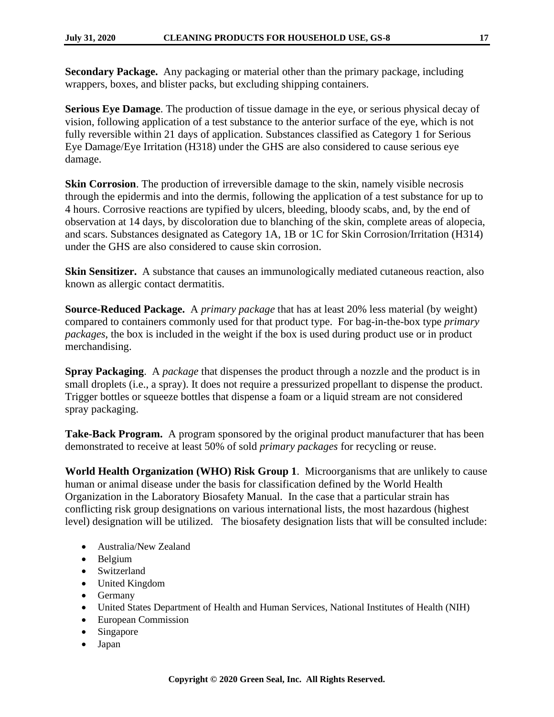**Secondary Package.** Any packaging or material other than the primary package, including wrappers, boxes, and blister packs, but excluding shipping containers.

**Serious Eye Damage**. The production of tissue damage in the eye, or serious physical decay of vision, following application of a test substance to the anterior surface of the eye, which is not fully reversible within 21 days of application. Substances classified as Category 1 for Serious Eye Damage/Eye Irritation (H318) under the GHS are also considered to cause serious eye damage.

**Skin Corrosion**. The production of irreversible damage to the skin, namely visible necrosis through the epidermis and into the dermis, following the application of a test substance for up to 4 hours. Corrosive reactions are typified by ulcers, bleeding, bloody scabs, and, by the end of observation at 14 days, by discoloration due to blanching of the skin, complete areas of alopecia, and scars. Substances designated as Category 1A, 1B or 1C for Skin Corrosion/Irritation (H314) under the GHS are also considered to cause skin corrosion.

**Skin Sensitizer.** A substance that causes an immunologically mediated cutaneous reaction, also known as allergic contact dermatitis.

**Source-Reduced Package.** A *primary package* that has at least 20% less material (by weight) compared to containers commonly used for that product type. For bag-in-the-box type *primary packages*, the box is included in the weight if the box is used during product use or in product merchandising.

**Spray Packaging**. A *package* that dispenses the product through a nozzle and the product is in small droplets (i.e., a spray). It does not require a pressurized propellant to dispense the product. Trigger bottles or squeeze bottles that dispense a foam or a liquid stream are not considered spray packaging.

**Take-Back Program.** A program sponsored by the original product manufacturer that has been demonstrated to receive at least 50% of sold *primary packages* for recycling or reuse.

**World Health Organization (WHO) Risk Group 1**. Microorganisms that are unlikely to cause human or animal disease under the basis for classification defined by the World Health Organization in the Laboratory Biosafety Manual. In the case that a particular strain has conflicting risk group designations on various international lists, the most hazardous (highest level) designation will be utilized. The biosafety designation lists that will be consulted include:

- Australia/New Zealand
- Belgium
- Switzerland
- United Kingdom
- Germany
- United States Department of Health and Human Services, National Institutes of Health (NIH)
- European Commission
- Singapore
- Japan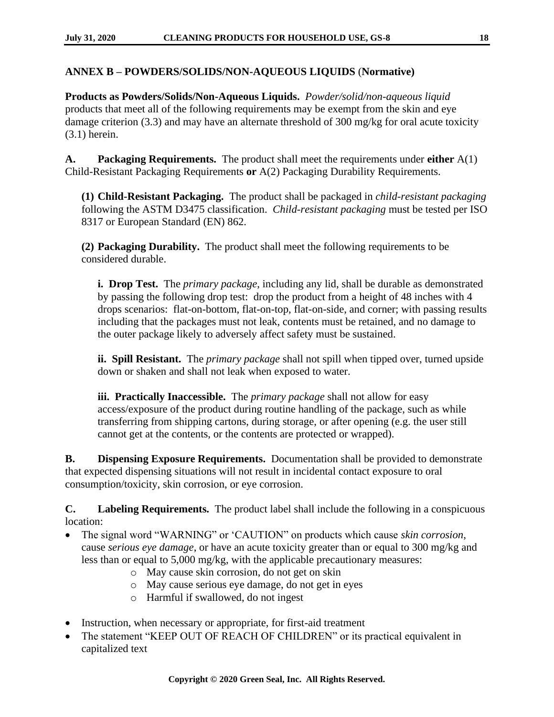#### <span id="page-17-0"></span>**ANNEX B – POWDERS/SOLIDS/NON-AQUEOUS LIQUIDS** (**Normative)**

**Products as Powders/Solids/Non-Aqueous Liquids.** *Powder/solid/non-aqueous liquid* products that meet all of the following requirements may be exempt from the skin and eye damage criterion (3.3) and may have an alternate threshold of 300 mg/kg for oral acute toxicity (3.1) herein.

**A. Packaging Requirements.** The product shall meet the requirements under **either** A(1) Child-Resistant Packaging Requirements **or** A(2) Packaging Durability Requirements.

**(1) Child-Resistant Packaging.** The product shall be packaged in *child-resistant packaging* following the ASTM D3475 classification. *Child-resistant packaging* must be tested per ISO 8317 or European Standard (EN) 862.

**(2) Packaging Durability.** The product shall meet the following requirements to be considered durable.

**i. Drop Test.** The *primary package*, including any lid, shall be durable as demonstrated by passing the following drop test: drop the product from a height of 48 inches with 4 drops scenarios: flat-on-bottom, flat-on-top, flat-on-side, and corner; with passing results including that the packages must not leak, contents must be retained, and no damage to the outer package likely to adversely affect safety must be sustained.

**ii. Spill Resistant.** The *primary package* shall not spill when tipped over, turned upside down or shaken and shall not leak when exposed to water.

**iii. Practically Inaccessible.** The *primary package* shall not allow for easy access/exposure of the product during routine handling of the package, such as while transferring from shipping cartons, during storage, or after opening (e.g. the user still cannot get at the contents, or the contents are protected or wrapped).

**B. Dispensing Exposure Requirements.** Documentation shall be provided to demonstrate that expected dispensing situations will not result in incidental contact exposure to oral consumption/toxicity, skin corrosion, or eye corrosion.

**C. Labeling Requirements.** The product label shall include the following in a conspicuous location:

- The signal word "WARNING" or 'CAUTION" on products which cause *skin corrosion*, cause *serious eye damage*, or have an acute toxicity greater than or equal to 300 mg/kg and less than or equal to 5,000 mg/kg, with the applicable precautionary measures:
	- o May cause skin corrosion, do not get on skin
	- o May cause serious eye damage, do not get in eyes
	- o Harmful if swallowed, do not ingest
- Instruction, when necessary or appropriate, for first-aid treatment
- The statement "KEEP OUT OF REACH OF CHILDREN" or its practical equivalent in capitalized text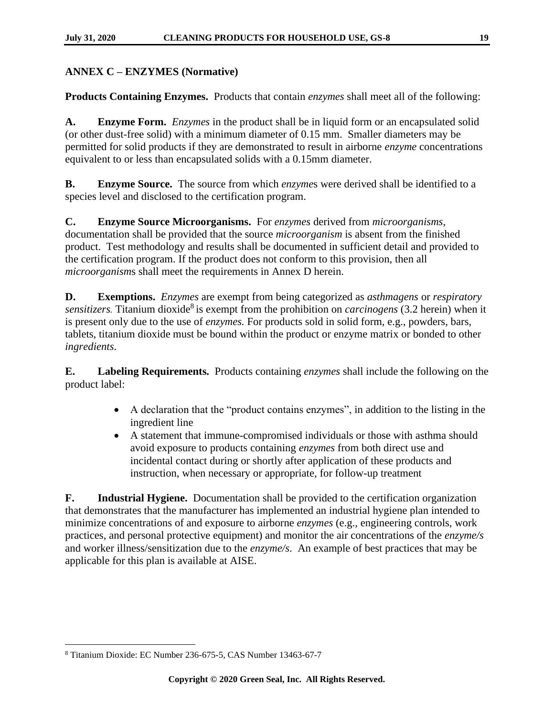# <span id="page-18-0"></span>**ANNEX C – ENZYMES (Normative)**

**Products Containing Enzymes.** Products that contain *enzymes* shall meet all of the following:

**A. Enzyme Form.** *Enzymes* in the product shall be in liquid form or an encapsulated solid (or other dust-free solid) with a minimum diameter of 0.15 mm. Smaller diameters may be permitted for solid products if they are demonstrated to result in airborne *enzyme* concentrations equivalent to or less than encapsulated solids with a 0.15mm diameter.

**B. Enzyme Source.** The source from which *enzyme*s were derived shall be identified to a species level and disclosed to the certification program.

**C. Enzyme Source Microorganisms.** For *enzymes* derived from *microorganisms*, documentation shall be provided that the source *microorganism* is absent from the finished product. Test methodology and results shall be documented in sufficient detail and provided to the certification program. If the product does not conform to this provision, then all *microorganism*s shall meet the requirements in Annex D herein.

**D. Exemptions.** *Enzymes* are exempt from being categorized as *asthmagens* or *respiratory*  sensitizers. Titanium dioxide<sup>8</sup> is exempt from the prohibition on *carcinogens* (3.2 herein) when it is present only due to the use of *enzymes.* For products sold in solid form, e.g., powders, bars, tablets, titanium dioxide must be bound within the product or enzyme matrix or bonded to other *ingredients*.

**E. Labeling Requirements.** Products containing *enzymes* shall include the following on the product label:

- A declaration that the "product contains enzymes", in addition to the listing in the ingredient line
- A statement that immune-compromised individuals or those with asthma should avoid exposure to products containing *enzymes* from both direct use and incidental contact during or shortly after application of these products and instruction, when necessary or appropriate, for follow-up treatment

**F. Industrial Hygiene.** Documentation shall be provided to the certification organization that demonstrates that the manufacturer has implemented an industrial hygiene plan intended to minimize concentrations of and exposure to airborne *enzymes* (e.g., engineering controls, work practices, and personal protective equipment) and monitor the air concentrations of the *enzyme/s* and worker illness/sensitization due to the *enzyme/s*. An example of best practices that may be applicable for this plan is available at AISE.

<sup>8</sup> Titanium Dioxide: EC Number 236-675-5, CAS Number 13463-67-7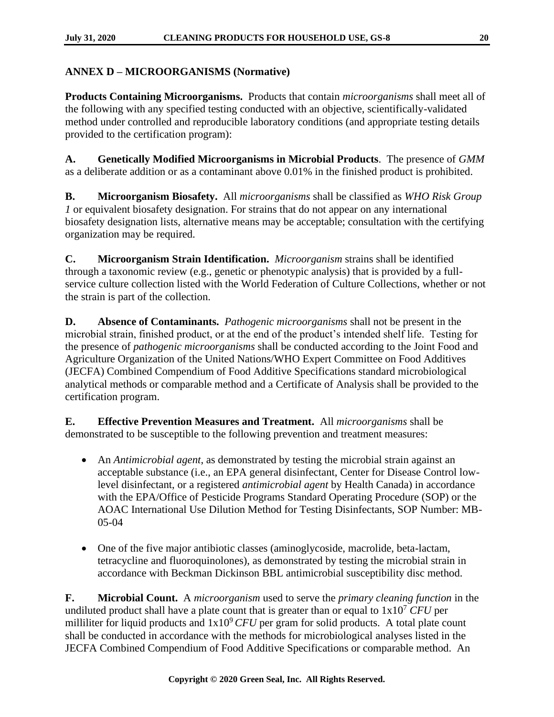# <span id="page-19-0"></span>**ANNEX D – MICROORGANISMS (Normative)**

**Products Containing Microorganisms.** Products that contain *microorganisms* shall meet all of the following with any specified testing conducted with an objective, scientifically-validated method under controlled and reproducible laboratory conditions (and appropriate testing details provided to the certification program):

**A. Genetically Modified Microorganisms in Microbial Products**. The presence of *GMM* as a deliberate addition or as a contaminant above 0.01% in the finished product is prohibited.

**B. Microorganism Biosafety.** All *microorganisms* shall be classified as *WHO Risk Group 1* or equivalent biosafety designation. For strains that do not appear on any international biosafety designation lists, alternative means may be acceptable; consultation with the certifying organization may be required.

**C. Microorganism Strain Identification.** *Microorganism* strains shall be identified through a taxonomic review (e.g., genetic or phenotypic analysis) that is provided by a fullservice culture collection listed with the World Federation of Culture Collections, whether or not the strain is part of the collection.

**D. Absence of Contaminants.** *Pathogenic microorganisms* shall not be present in the microbial strain, finished product, or at the end of the product's intended shelf life. Testing for the presence of *pathogenic microorganisms* shall be conducted according to the Joint Food and Agriculture Organization of the United Nations/WHO Expert Committee on Food Additives (JECFA) Combined Compendium of Food Additive Specifications standard microbiological analytical methods or comparable method and a Certificate of Analysis shall be provided to the certification program.

**E. Effective Prevention Measures and Treatment.** All *microorganisms* shall be demonstrated to be susceptible to the following prevention and treatment measures:

- An *Antimicrobial agent*, as demonstrated by testing the microbial strain against an acceptable substance (i.e., an EPA general disinfectant, Center for Disease Control lowlevel disinfectant, or a registered *antimicrobial agent* by Health Canada) in accordance with the EPA/Office of Pesticide Programs Standard Operating Procedure (SOP) or the AOAC International Use Dilution Method for Testing Disinfectants, SOP Number: MB-05-04
- One of the five major antibiotic classes (aminoglycoside, macrolide, beta-lactam, tetracycline and fluoroquinolones), as demonstrated by testing the microbial strain in accordance with Beckman Dickinson BBL antimicrobial susceptibility disc method.

**F. Microbial Count.** A *microorganism* used to serve the *primary cleaning function* in the undiluted product shall have a plate count that is greater than or equal to  $1x10<sup>7</sup>$  *CFU* per milliliter for liquid products and  $1x10^9$  *CFU* per gram for solid products. A total plate count shall be conducted in accordance with the methods for microbiological analyses listed in the JECFA Combined Compendium of Food Additive Specifications or comparable method. An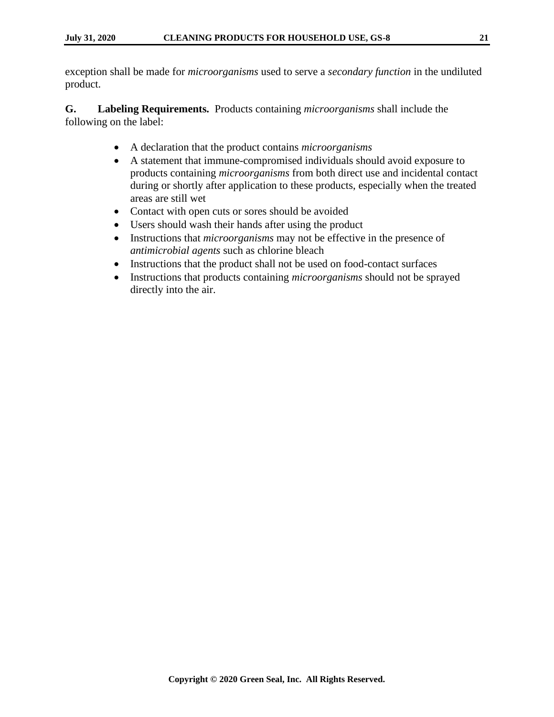exception shall be made for *microorganisms* used to serve a *secondary function* in the undiluted product.

**G. Labeling Requirements.** Products containing *microorganisms* shall include the following on the label:

- A declaration that the product contains *microorganisms*
- A statement that immune-compromised individuals should avoid exposure to products containing *microorganisms* from both direct use and incidental contact during or shortly after application to these products, especially when the treated areas are still wet
- Contact with open cuts or sores should be avoided
- Users should wash their hands after using the product
- Instructions that *microorganisms* may not be effective in the presence of *antimicrobial agents* such as chlorine bleach
- Instructions that the product shall not be used on food-contact surfaces
- Instructions that products containing *microorganisms* should not be sprayed directly into the air.